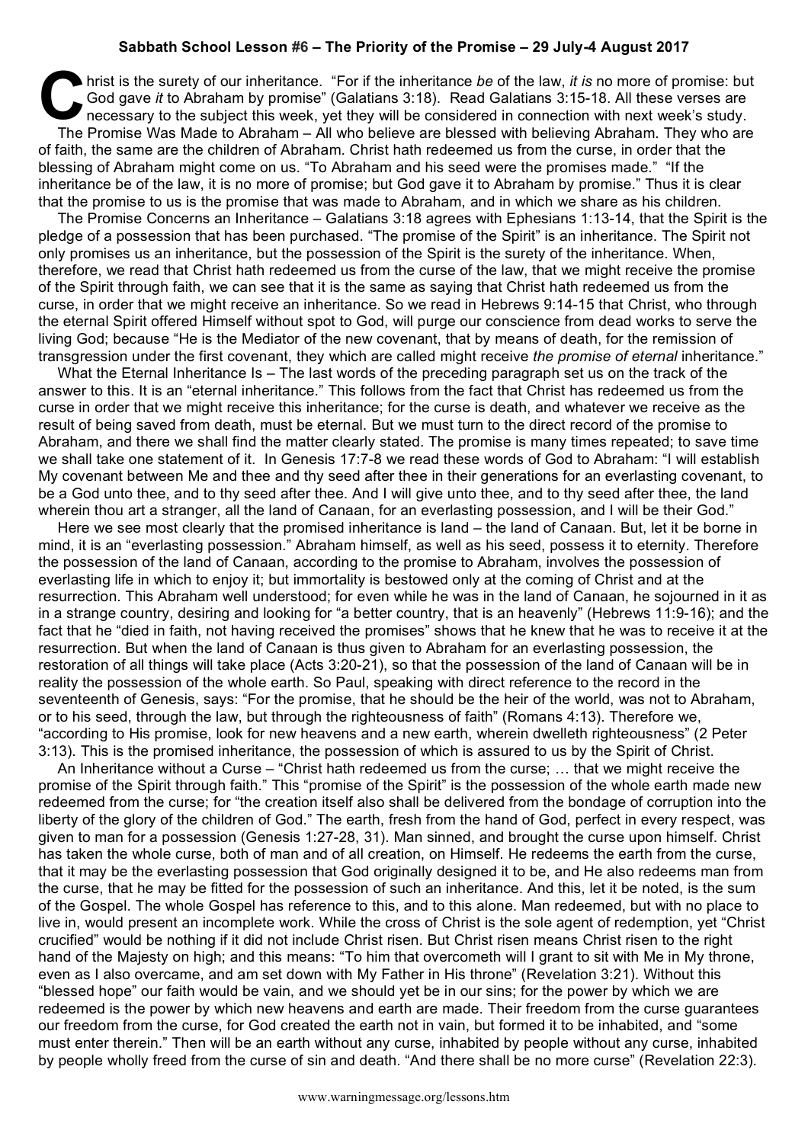## **Sabbath School Lesson #6 – The Priority of the Promise – 29 July-4 August 2017**

hrist is the surety of our inheritance. "For if the inheritance *be* of the law, *it is* no more of promise: but God gave *it* to Abraham by promise" (Galatians 3:18). Read Galatians 3:15-18. All these verses are necessary to the subject this week, yet they will be considered in connection with next week's study. The Promise Was Made to Abraham – All who believe are blessed with believing Abraham. They who are of faith, the same are the children of Abraham. Christ hath redeemed us from the curse, in order that the blessing of Abraham might come on us. "To Abraham and his seed were the promises made." "If the inheritance be of the law, it is no more of promise; but God gave it to Abraham by promise." Thus it is clear that the promise to us is the promise that was made to Abraham, and in which we share as his children. Go hris

The Promise Concerns an Inheritance – Galatians 3:18 agrees with Ephesians 1:13-14, that the Spirit is the pledge of a possession that has been purchased. "The promise of the Spirit" is an inheritance. The Spirit not only promises us an inheritance, but the possession of the Spirit is the surety of the inheritance. When, therefore, we read that Christ hath redeemed us from the curse of the law, that we might receive the promise of the Spirit through faith, we can see that it is the same as saying that Christ hath redeemed us from the curse, in order that we might receive an inheritance. So we read in Hebrews 9:14-15 that Christ, who through the eternal Spirit offered Himself without spot to God, will purge our conscience from dead works to serve the living God; because "He is the Mediator of the new covenant, that by means of death, for the remission of transgression under the first covenant, they which are called might receive *the promise of eternal* inheritance."

What the Eternal Inheritance Is – The last words of the preceding paragraph set us on the track of the answer to this. It is an "eternal inheritance." This follows from the fact that Christ has redeemed us from the curse in order that we might receive this inheritance; for the curse is death, and whatever we receive as the result of being saved from death, must be eternal. But we must turn to the direct record of the promise to Abraham, and there we shall find the matter clearly stated. The promise is many times repeated; to save time we shall take one statement of it. In Genesis 17:7-8 we read these words of God to Abraham: "I will establish My covenant between Me and thee and thy seed after thee in their generations for an everlasting covenant, to be a God unto thee, and to thy seed after thee. And I will give unto thee, and to thy seed after thee, the land wherein thou art a stranger, all the land of Canaan, for an everlasting possession, and I will be their God."

Here we see most clearly that the promised inheritance is land – the land of Canaan. But, let it be borne in mind, it is an "everlasting possession." Abraham himself, as well as his seed, possess it to eternity. Therefore the possession of the land of Canaan, according to the promise to Abraham, involves the possession of everlasting life in which to enjoy it; but immortality is bestowed only at the coming of Christ and at the resurrection. This Abraham well understood; for even while he was in the land of Canaan, he sojourned in it as in a strange country, desiring and looking for "a better country, that is an heavenly" (Hebrews 11:9-16); and the fact that he "died in faith, not having received the promises" shows that he knew that he was to receive it at the resurrection. But when the land of Canaan is thus given to Abraham for an everlasting possession, the restoration of all things will take place (Acts 3:20-21), so that the possession of the land of Canaan will be in reality the possession of the whole earth. So Paul, speaking with direct reference to the record in the seventeenth of Genesis, says: "For the promise, that he should be the heir of the world, was not to Abraham, or to his seed, through the law, but through the righteousness of faith" (Romans 4:13). Therefore we, "according to His promise, look for new heavens and a new earth, wherein dwelleth righteousness" (2 Peter 3:13). This is the promised inheritance, the possession of which is assured to us by the Spirit of Christ.

An Inheritance without a Curse – "Christ hath redeemed us from the curse; … that we might receive the promise of the Spirit through faith." This "promise of the Spirit" is the possession of the whole earth made new redeemed from the curse; for "the creation itself also shall be delivered from the bondage of corruption into the liberty of the glory of the children of God." The earth, fresh from the hand of God, perfect in every respect, was given to man for a possession (Genesis 1:27-28, 31). Man sinned, and brought the curse upon himself. Christ has taken the whole curse, both of man and of all creation, on Himself. He redeems the earth from the curse, that it may be the everlasting possession that God originally designed it to be, and He also redeems man from the curse, that he may be fitted for the possession of such an inheritance. And this, let it be noted, is the sum of the Gospel. The whole Gospel has reference to this, and to this alone. Man redeemed, but with no place to live in, would present an incomplete work. While the cross of Christ is the sole agent of redemption, yet "Christ crucified" would be nothing if it did not include Christ risen. But Christ risen means Christ risen to the right hand of the Majesty on high; and this means: "To him that overcometh will I grant to sit with Me in My throne, even as I also overcame, and am set down with My Father in His throne" (Revelation 3:21). Without this "blessed hope" our faith would be vain, and we should yet be in our sins; for the power by which we are redeemed is the power by which new heavens and earth are made. Their freedom from the curse guarantees our freedom from the curse, for God created the earth not in vain, but formed it to be inhabited, and "some must enter therein." Then will be an earth without any curse, inhabited by people without any curse, inhabited by people wholly freed from the curse of sin and death. "And there shall be no more curse" (Revelation 22:3).